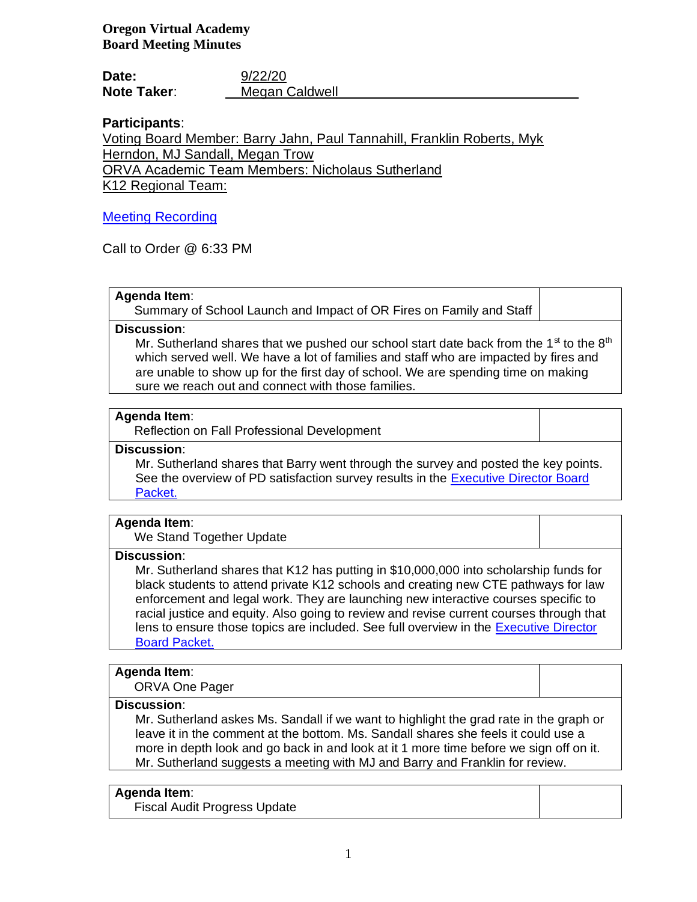**Oregon Virtual Academy Board Meeting Minutes**

**Date:** 9/22/20 **Note Taker**: Megan Caldwell

# **Participants**:

Voting Board Member: Barry Jahn, Paul Tannahill, Franklin Roberts, Myk Herndon, MJ Sandall, Megan Trow ORVA Academic Team Members: Nicholaus Sutherland

K12 Regional Team:

# Meeting Recording

Call to Order @ 6:33 PM

# **Agenda Item**:

Summary of School Launch and Impact of OR Fires on Family and Staff

**Discussion**:

Mr. Sutherland shares that we pushed our school start date back from the  $1<sup>st</sup>$  to the  $8<sup>th</sup>$ which served well. We have a lot of families and staff who are impacted by fires and are unable to show up for the first day of school. We are spending time on making sure we reach out and connect with those families.

# **Agenda Item**:

Reflection on Fall Professional Development

**Discussion**:

Mr. Sutherland shares that Barry went through the survey and posted the key points. See the overview of PD satisfaction survey results in the Executive Director Board Packet.

# **Agenda Item**:

We Stand Together Update

# **Discussion**:

Mr. Sutherland shares that K12 has putting in \$10,000,000 into scholarship funds for black students to attend private K12 schools and creating new CTE pathways for law enforcement and legal work. They are launching new interactive courses specific to racial justice and equity. Also going to review and revise current courses through that lens to ensure those topics are included. See full overview in the Executive Director Board Packet.

# **Agenda Item**:

ORVA One Pager

# **Discussion**:

Mr. Sutherland askes Ms. Sandall if we want to highlight the grad rate in the graph or leave it in the comment at the bottom. Ms. Sandall shares she feels it could use a more in depth look and go back in and look at it 1 more time before we sign off on it. Mr. Sutherland suggests a meeting with MJ and Barry and Franklin for review.

# **Agenda Item**:

Fiscal Audit Progress Update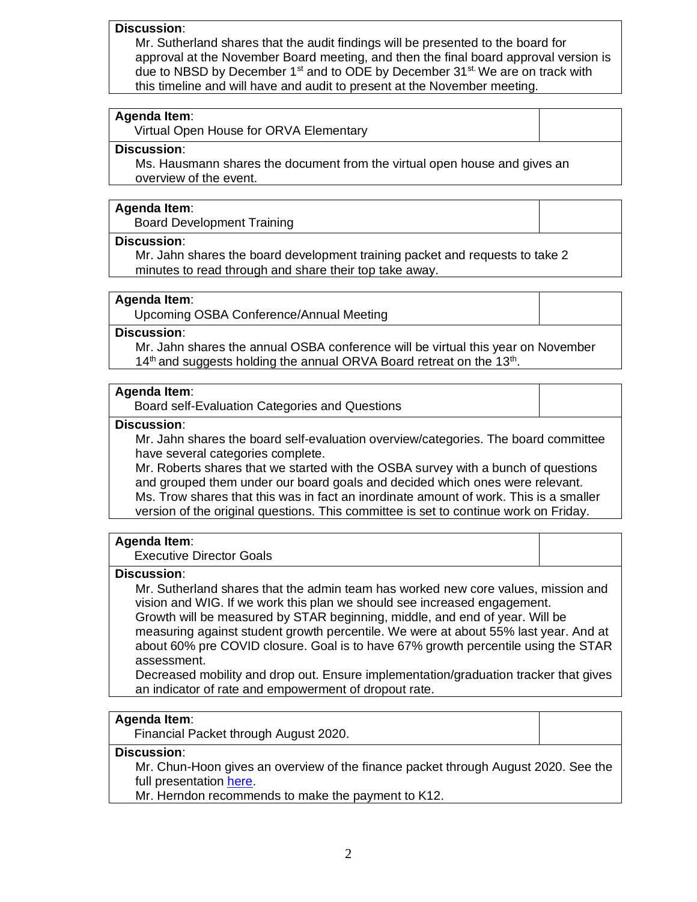#### **Discussion**:

Mr. Sutherland shares that the audit findings will be presented to the board for approval at the November Board meeting, and then the final board approval version is due to NBSD by December  $1<sup>st</sup>$  and to ODE by December 31 $<sup>st</sup>$ . We are on track with</sup> this timeline and will have and audit to present at the November meeting.

#### **Agenda Item**:

Virtual Open House for ORVA Elementary

# **Discussion**:

Ms. Hausmann shares the document from the virtual open house and gives an overview of the event.

#### **Agenda Item**:

Board Development Training

#### **Discussion**:

Mr. Jahn shares the board development training packet and requests to take 2 minutes to read through and share their top take away.

#### **Agenda Item**:

Upcoming OSBA Conference/Annual Meeting

## **Discussion**:

Mr. Jahn shares the annual OSBA conference will be virtual this year on November  $14<sup>th</sup>$  and suggests holding the annual ORVA Board retreat on the 13<sup>th</sup>.

#### **Agenda Item**:

Board self-Evaluation Categories and Questions

#### **Discussion**:

Mr. Jahn shares the board self-evaluation overview/categories. The board committee have several categories complete.

Mr. Roberts shares that we started with the OSBA survey with a bunch of questions and grouped them under our board goals and decided which ones were relevant. Ms. Trow shares that this was in fact an inordinate amount of work. This is a smaller version of the original questions. This committee is set to continue work on Friday.

#### **Agenda Item**:

Executive Director Goals

#### **Discussion**:

Mr. Sutherland shares that the admin team has worked new core values, mission and vision and WIG. If we work this plan we should see increased engagement.

Growth will be measured by STAR beginning, middle, and end of year. Will be measuring against student growth percentile. We were at about 55% last year. And at about 60% pre COVID closure. Goal is to have 67% growth percentile using the STAR assessment.

Decreased mobility and drop out. Ensure implementation/graduation tracker that gives an indicator of rate and empowerment of dropout rate.

#### **Agenda Item**:

Financial Packet through August 2020.

# **Discussion**:

Mr. Chun-Hoon gives an overview of the finance packet through August 2020. See the full presentation here.

Mr. Herndon recommends to make the payment to K12.